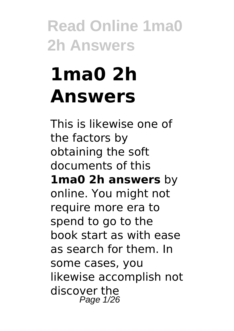# **1ma0 2h Answers**

This is likewise one of the factors by obtaining the soft documents of this **1ma0 2h answers** by online. You might not require more era to spend to go to the book start as with ease as search for them. In some cases, you likewise accomplish not discover the Page 1/26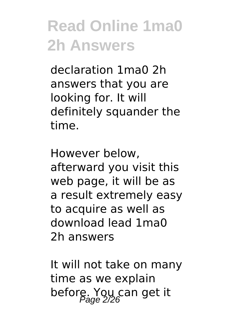declaration 1ma0 2h answers that you are looking for. It will definitely squander the time.

However below, afterward you visit this web page, it will be as a result extremely easy to acquire as well as download lead 1ma0 2h answers

It will not take on many time as we explain before. You can get it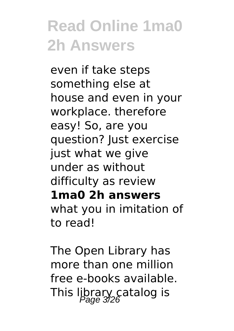even if take steps something else at house and even in your workplace. therefore easy! So, are you question? Just exercise just what we give under as without difficulty as review **1ma0 2h answers** what you in imitation of to read!

The Open Library has more than one million free e-books available. This library catalog is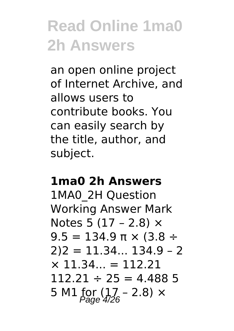an open online project of Internet Archive, and allows users to contribute books. You can easily search by the title, author, and subject.

#### **1ma0 2h Answers**

1MA0\_2H Question Working Answer Mark Notes 5 (17 – 2.8)  $\times$  $9.5 = 134.9 \text{ m} \times (3.8 \div$  $2)2 = 11.34... 134.9 - 2$  $\times$  11.34... = 112.21  $112.21 \div 25 = 4.4885$ 5 M1 for  $(17 - 2.8) \times$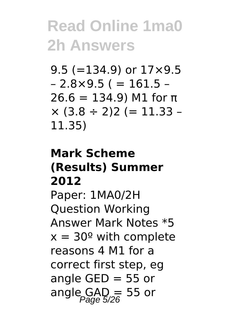9.5 ( $=$ 134.9) or 17 $\times$ 9.5  $-2.8 \times 9.5$  ( = 161.5 –  $26.6 = 134.9$ ) M1 for π  $\times$  (3.8 ÷ 2)2 (= 11.33 – 11.35)

#### **Mark Scheme (Results) Summer 2012**

Paper: 1MA0/2H Question Working Answer Mark Notes \*5  $x = 30^{\circ}$  with complete reasons 4 M1 for a correct first step, eg angle GED  $=$  55 or angle  $GAD = 55$  or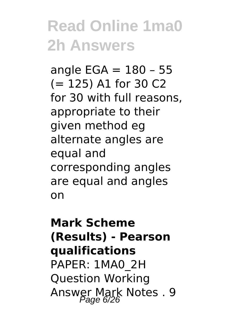angle  $EGA = 180 - 55$ (= 125) A1 for 30 C2 for 30 with full reasons, appropriate to their given method eg alternate angles are equal and corresponding angles are equal and angles on

#### **Mark Scheme (Results) - Pearson qualifications** PAPER: 1MA0\_2H Question Working Answer Mark Notes . 9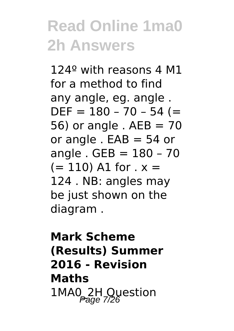124º with reasons 4 M1 for a method to find any angle, eg. angle .  $DEF = 180 - 70 - 54 (=$ 56) or angle .  $AEB = 70$ or angle .  $EAB = 54$  or angle . GEB = 180 – 70  $(= 110)$  A1 for  $x =$ 124 . NB: angles may be just shown on the diagram .

#### **Mark Scheme (Results) Summer 2016 - Revision Maths** 1MA0\_2H Question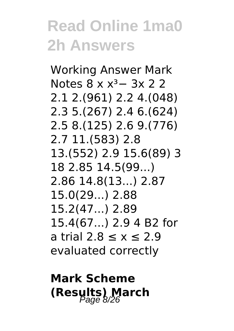Working Answer Mark Notes 8 x x<sup>3</sup> − 3x 2 2 2.1 2.(961) 2.2 4.(048) 2.3 5.(267) 2.4 6.(624) 2.5 8.(125) 2.6 9.(776) 2.7 11.(583) 2.8 13.(552) 2.9 15.6(89) 3 18 2.85 14.5(99...) 2.86 14.8(13...) 2.87 15.0(29...) 2.88 15.2(47...) 2.89 15.4(67...) 2.9 4 B2 for a trial 2.8 ≤ x ≤ 2.9 evaluated correctly

#### **Mark Scheme (Results) March**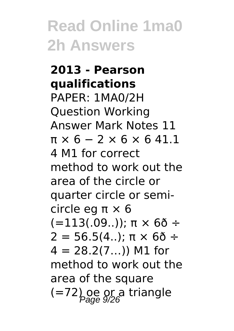### **2013 - Pearson qualifications**

PAPER: 1MA0/2H Question Working Answer Mark Notes 11  $\pi \times 6 - 2 \times 6 \times 6 41.1$ 4 M1 for correct method to work out the area of the circle or quarter circle or semicircle eg π × 6  $(=113(.09.))$ ; π  $\times$  6δ ÷  $2 = 56.5(4...)$ ; π × 6δ ÷  $4 = 28.2(7...)$  M1 for method to work out the area of the square  $(=72)$  oe or a triangle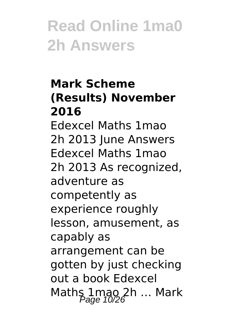#### **Mark Scheme (Results) November 2016**

Edexcel Maths 1mao 2h 2013 June Answers Edexcel Maths 1mao 2h 2013 As recognized, adventure as competently as experience roughly lesson, amusement, as capably as arrangement can be gotten by just checking out a book Edexcel Maths 1mao 2h ... Mark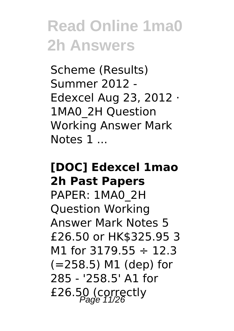Scheme (Results) Summer 2012 - Edexcel Aug 23, 2012 · 1MA0\_2H Question Working Answer Mark Notes 1 ...

#### **[DOC] Edexcel 1mao 2h Past Papers**

PAPER: 1MA0\_2H Question Working Answer Mark Notes 5 £26.50 or HK\$325.95 3 M1 for  $3179.55 \div 12.3$ (=258.5) M1 (dep) for 285 - '258.5' A1 for £26.50 (correctly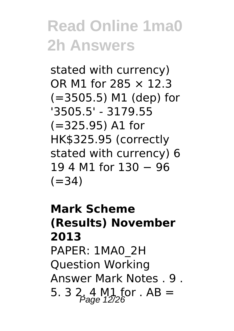stated with currency) OR M1 for 285 × 12.3 (=3505.5) M1 (dep) for '3505.5' - 3179.55 (=325.95) A1 for HK\$325.95 (correctly stated with currency) 6 19 4 M1 for 130 − 96  $(=34)$ 

#### **Mark Scheme (Results) November 2013** PAPER: 1MA0\_2H Question Working Answer Mark Notes . 9 . 5. 3  $2, 4$  M<sub>1</sub> for . AB =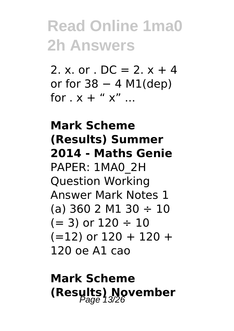2. x. or .  $DC = 2. x + 4$ or for  $38 - 4$  M1(dep) for  $x + " x" ...$ 

**Mark Scheme (Results) Summer 2014 - Maths Genie** PAPER: 1MA0\_2H Question Working Answer Mark Notes 1 (a) 360 2 M1 30  $\div$  10  $(= 3)$  or  $120 \div 10$  $(=12)$  or  $120 + 120 +$ 120 oe A1 cao

#### **Mark Scheme (Results) November**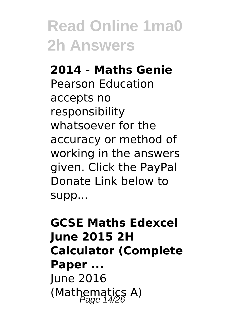#### **2014 - Maths Genie**

Pearson Education accepts no responsibility whatsoever for the accuracy or method of working in the answers given. Click the PayPal Donate Link below to supp...

**GCSE Maths Edexcel June 2015 2H Calculator (Complete Paper ...** June 2016 (Mathematics A)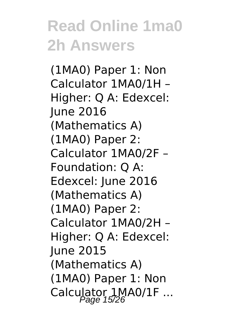(1MA0) Paper 1: Non Calculator 1MA0/1H – Higher: Q A: Edexcel: June 2016 (Mathematics A) (1MA0) Paper 2: Calculator 1MA0/2F – Foundation: Q A: Edexcel: June 2016 (Mathematics A) (1MA0) Paper 2: Calculator 1MA0/2H – Higher: Q A: Edexcel: June 2015 (Mathematics A) (1MA0) Paper 1: Non Calculator 1MA0/1F ...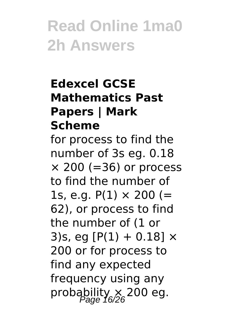#### **Edexcel GCSE Mathematics Past Papers | Mark Scheme**

for process to find the number of 3s eg. 0.18  $\times$  200 (=36) or process to find the number of 1s, e.g.  $P(1) \times 200 (=$ 62), or process to find the number of (1 or 3)s, eg  $[P(1) + 0.18] \times$ 200 or for process to find any expected frequency using any probability  $\times$  200 eg.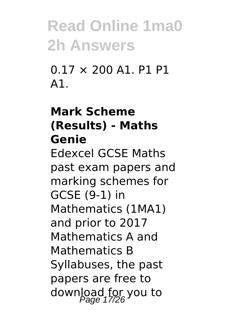0.17 × 200 A1. P1 P1 A1.

#### **Mark Scheme (Results) - Maths Genie**

Edexcel GCSE Maths past exam papers and marking schemes for GCSE (9-1) in Mathematics (1MA1) and prior to 2017 Mathematics A and Mathematics B Syllabuses, the past papers are free to download for you to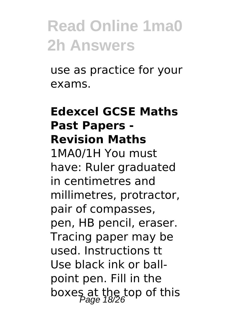use as practice for your exams.

#### **Edexcel GCSE Maths Past Papers - Revision Maths**

1MA0/1H You must have: Ruler graduated in centimetres and millimetres, protractor, pair of compasses, pen, HB pencil, eraser. Tracing paper may be used. Instructions tt Use black ink or ballpoint pen. Fill in the boxes at the top of this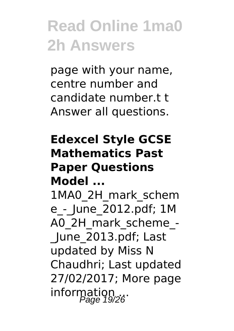page with your name, centre number and candidate number.t t Answer all questions.

#### **Edexcel Style GCSE Mathematics Past Paper Questions Model ...**

1MA0\_2H\_mark\_schem e\_-\_June\_2012.pdf; 1M A0\_2H\_mark\_scheme\_-

June 2013.pdf; Last updated by Miss N Chaudhri; Last updated 27/02/2017; More page information ...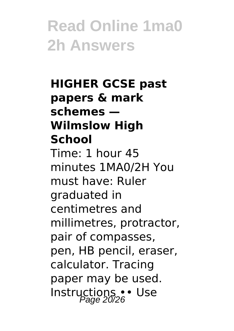#### **HIGHER GCSE past papers & mark schemes — Wilmslow High School** Time: 1 hour 45 minutes 1MA0/2H You must have: Ruler graduated in centimetres and millimetres, protractor, pair of compasses, pen, HB pencil, eraser, calculator. Tracing paper may be used. Instructions •• Use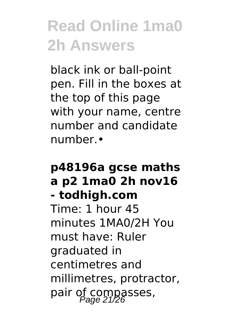black ink or ball-point pen. Fill in the boxes at the top of this page with your name, centre number and candidate number.•

#### **p48196a gcse maths a p2 1ma0 2h nov16 - todhigh.com** Time: 1 hour 45 minutes 1MA0/2H You must have: Ruler graduated in centimetres and millimetres, protractor, pair of compasses,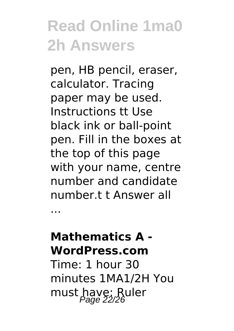pen, HB pencil, eraser, calculator. Tracing paper may be used. Instructions tt Use black ink or ball-point pen. Fill in the boxes at the top of this page with your name, centre number and candidate number.t t Answer all

**Mathematics A - WordPress.com**

...

Time: 1 hour 30 minutes 1MA1/2H You must have: Ruler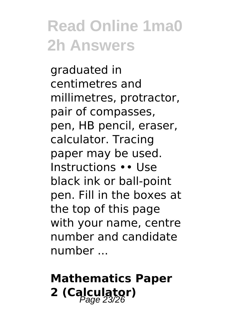graduated in centimetres and millimetres, protractor, pair of compasses, pen, HB pencil, eraser, calculator. Tracing paper may be used. Instructions •• Use black ink or ball-point pen. Fill in the boxes at the top of this page with your name, centre number and candidate number ...

#### **Mathematics Paper 2 (Calculator)** Page 23/26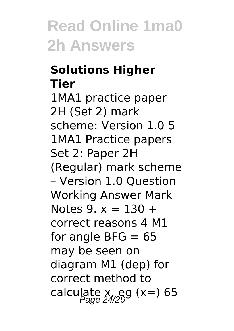#### **Solutions Higher Tier**

1MA1 practice paper 2H (Set 2) mark scheme: Version 1.0 5 1MA1 Practice papers Set 2: Paper 2H (Regular) mark scheme – Version 1.0 Question Working Answer Mark Notes  $9 \times 2130 +$ correct reasons 4 M1 for angle BFG  $= 65$ may be seen on diagram M1 (dep) for correct method to calculate  $x$ , eg (x=) 65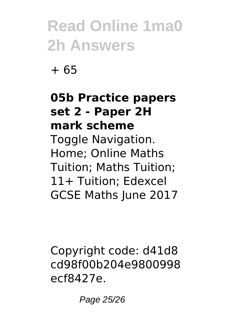+ 65

#### **05b Practice papers set 2 - Paper 2H mark scheme**

Toggle Navigation. Home; Online Maths Tuition; Maths Tuition; 11+ Tuition; Edexcel GCSE Maths June 2017

Copyright code: d41d8 cd98f00b204e9800998 ecf8427e.

Page 25/26